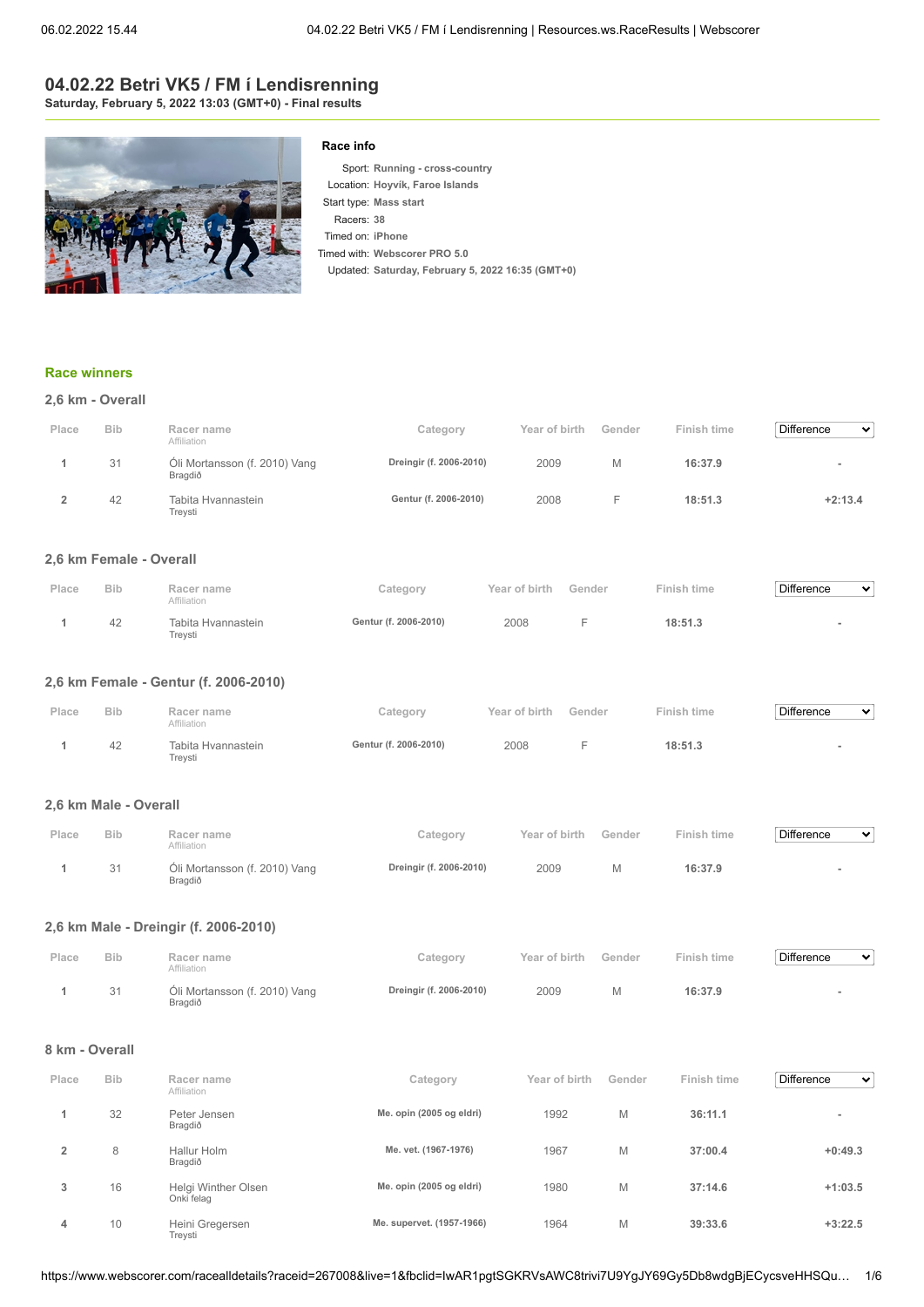## **04.02.22 Betri VK5 / FM í Lendisrenning Saturday, February 5, 2022 13:03 (GMT+0) - Final results**



#### **Race info**

Sport: **Running - cross-country** Location: **Hoyvík, Faroe Islands** Start type: **Mass start** Racers: **38** Timed on: **iPhone** Timed with: **Webscorer PRO 5.0** Updated: **Saturday, February 5, 2022 16:35 (GMT+0)**

#### **[Race winners](https://www.webscorer.com/race?raceid=267008)**

|  |  |  | 2,6 km - Overall |
|--|--|--|------------------|
|--|--|--|------------------|

| Place | <b>Bib</b> | Racer name<br>Affiliation                | Category                | Year of birth | Gender | Finish time | Difference<br>$\mathbf{v}$ |
|-------|------------|------------------------------------------|-------------------------|---------------|--------|-------------|----------------------------|
|       | 31         | Óli Mortansson (f. 2010) Vang<br>Bragdið | Dreingir (f. 2006-2010) | 2009          | M      | 16:37.9     | $\overline{\phantom{a}}$   |
|       | 42         | Tabita Hvannastein<br>Trevsti            | Gentur (f. 2006-2010)   | 2008          |        | 18:51.3     | $+2:13.4$                  |

#### **2,6 km Female - Overall**

| Place | <b>Bib</b> | Racer name<br><b>Affiliation</b> | category              | Year of birth | Gender | Finish time | <b>Difference</b><br>$\checkmark$ |
|-------|------------|----------------------------------|-----------------------|---------------|--------|-------------|-----------------------------------|
|       | 42         | Tabita Hvannastein<br>Trevsti    | Gentur (f. 2006-2010) | 2008          |        | 18:51.3     |                                   |

### **2,6 km Female - Gentur (f. 2006-2010)**

| Place | <b>Bib</b> | Racer name<br>Affiliation     | Category              | Year of birth | Gender | Finish time | Difference<br>$\checkmark$ |
|-------|------------|-------------------------------|-----------------------|---------------|--------|-------------|----------------------------|
|       | 42         | Tabita Hvannastein<br>Trevsti | Gentur (f. 2006-2010) | 2008          |        | 18:51.3     |                            |

#### **2,6 km Male - Overall**

| Place | <b>Bib</b> | Racer name<br>Affiliation                | Category                | Year of birth | Gender | Finish time | Difference<br>$\mathbf{v}$ |
|-------|------------|------------------------------------------|-------------------------|---------------|--------|-------------|----------------------------|
|       | 31         | Óli Mortansson (f. 2010) Vang<br>Bragdið | Dreingir (f. 2006-2010) | 2009          |        | 16:37.9     |                            |

#### **2,6 km Male - Dreingir (f. 2006-2010)**

| Place | <b>Bib</b> | Racer name<br>Affiliation                | Category                | Year of birth | Gender | Finish time | Difference<br>$\sim$ |
|-------|------------|------------------------------------------|-------------------------|---------------|--------|-------------|----------------------|
|       | 31         | Oli Mortansson (f. 2010) Vang<br>Bragdið | Dreingir (f. 2006-2010) | 2009          | M      | 16:37.9     |                      |

#### **8 km - Overall**

| Place | <b>Bib</b> | Racer name<br>Affiliation         | Category                  | Year of birth | Gender | Finish time | <b>Difference</b><br>$\checkmark$ |
|-------|------------|-----------------------------------|---------------------------|---------------|--------|-------------|-----------------------------------|
|       | 32         | Peter Jensen<br>Bragdið           | Me. opin (2005 og eldri)  | 1992          | M      | 36:11.1     | $\overline{\phantom{a}}$          |
| 2     | 8          | Hallur Holm<br>Bragdið            | Me. vet. (1967-1976)      | 1967          | M      | 37:00.4     | $+0:49.3$                         |
| 3     | 16         | Helgi Winther Olsen<br>Onki felag | Me. opin (2005 og eldri)  | 1980          | M      | 37:14.6     | $+1:03.5$                         |
| 4     | 10         | Heini Gregersen<br>Trevsti        | Me. supervet. (1957-1966) | 1964          | M      | 39:33.6     | $+3:22.5$                         |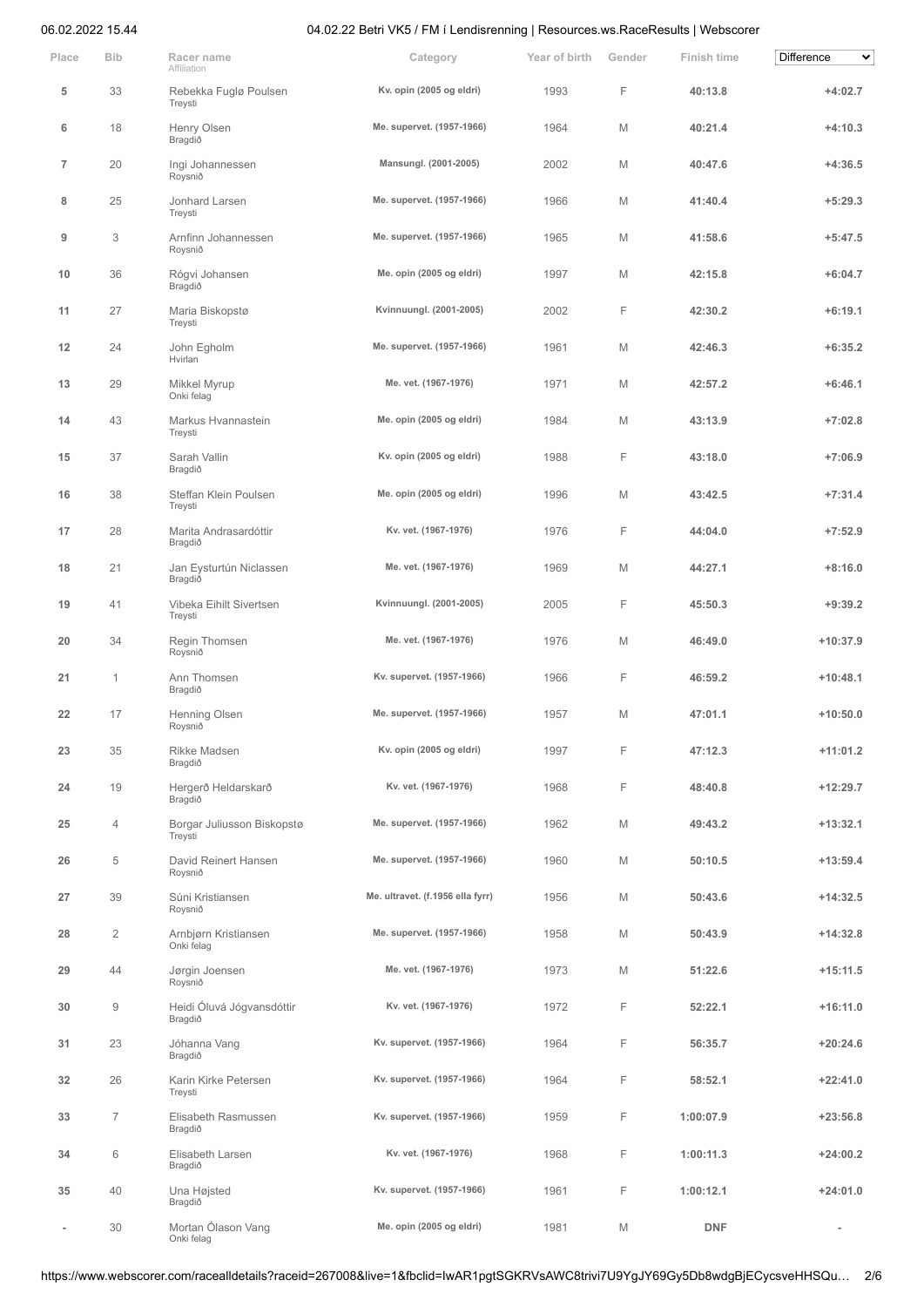| Place          | <b>Bib</b>     | Racer name<br>Affiliation             | Category                         | Year of birth | Gender | <b>Finish time</b> | Difference<br>v |
|----------------|----------------|---------------------------------------|----------------------------------|---------------|--------|--------------------|-----------------|
| 5              | 33             | Rebekka Fuglø Poulsen<br>Treysti      | Kv. opin (2005 og eldri)         | 1993          | F      | 40:13.8            | $+4:02.7$       |
| 6              | 18             | Henry Olsen<br>Bragdið                | Me. supervet. (1957-1966)        | 1964          | M      | 40:21.4            | $+4:10.3$       |
| $\overline{7}$ | 20             | Ingi Johannessen<br>Roysnið           | Mansungl. (2001-2005)            | 2002          | M      | 40:47.6            | $+4:36.5$       |
| 8              | 25             | Jonhard Larsen<br>Treysti             | Me. supervet. (1957-1966)        | 1966          | M      | 41:40.4            | $+5:29.3$       |
| 9              | 3              | Arnfinn Johannessen<br>Roysnið        | Me. supervet. (1957-1966)        | 1965          | M      | 41:58.6            | $+5:47.5$       |
| 10             | 36             | Rógvi Johansen<br>Bragdið             | Me. opin (2005 og eldri)         | 1997          | M      | 42:15.8            | $+6:04.7$       |
| 11             | 27             | Maria Biskopstø<br>Treysti            | Kvinnuungl. (2001-2005)          | 2002          | F      | 42:30.2            | $+6:19.1$       |
| 12             | 24             | John Egholm<br>Hvirlan                | Me. supervet. (1957-1966)        | 1961          | M      | 42:46.3            | $+6:35.2$       |
| 13             | 29             | Mikkel Myrup<br>Onki felag            | Me. vet. (1967-1976)             | 1971          | M      | 42:57.2            | $+6:46.1$       |
| 14             | 43             | Markus Hvannastein<br>Treysti         | Me. opin (2005 og eldri)         | 1984          | M      | 43:13.9            | $+7:02.8$       |
| 15             | 37             | Sarah Vallin<br>Bragdið               | Kv. opin (2005 og eldri)         | 1988          | F      | 43:18.0            | $+7:06.9$       |
| 16             | 38             | Steffan Klein Poulsen<br>Treysti      | Me. opin (2005 og eldri)         | 1996          | M      | 43:42.5            | $+7:31.4$       |
| 17             | 28             | Marita Andrasardóttir<br>Bragdið      | Kv. vet. (1967-1976)             | 1976          | F      | 44:04.0            | $+7:52.9$       |
| 18             | 21             | Jan Eysturtún Niclassen<br>Bragdið    | Me. vet. (1967-1976)             | 1969          | M      | 44:27.1            | $+8:16.0$       |
| 19             | 41             | Vibeka Eihilt Sivertsen<br>Treysti    | Kvinnuungl. (2001-2005)          | 2005          | F      | 45:50.3            | $+9:39.2$       |
| 20             | 34             | Regin Thomsen<br>Roysnið              | Me. vet. (1967-1976)             | 1976          | M      | 46:49.0            | $+10:37.9$      |
| 21             | $\mathbf{1}$   | Ann Thomsen<br>Bragdið                | Kv. supervet. (1957-1966)        | 1966          | F      | 46:59.2            | $+10:48.1$      |
| 22             | 17             | Henning Olsen<br>Roysnið              | Me. supervet. (1957-1966)        | 1957          | M      | 47:01.1            | $+10:50.0$      |
| 23             | 35             | Rikke Madsen<br>Bragdið               | Kv. opin (2005 og eldri)         | 1997          | F      | 47:12.3            | $+11:01.2$      |
| 24             | 19             | Hergerð Heldarskarð<br>Bragdið        | Kv. vet. (1967-1976)             | 1968          | F      | 48:40.8            | $+12:29.7$      |
| 25             | $\overline{4}$ | Borgar Juliusson Biskopstø<br>Treysti | Me. supervet. (1957-1966)        | 1962          | M      | 49:43.2            | $+13:32.1$      |
| 26             | 5              | David Reinert Hansen<br>Roysnið       | Me. supervet. (1957-1966)        | 1960          | M      | 50:10.5            | $+13:59.4$      |
| 27             | 39             | Súni Kristiansen<br>Roysnið           | Me. ultravet. (f.1956 ella fyrr) | 1956          | M      | 50:43.6            | $+14:32.5$      |
| 28             | $\overline{2}$ | Arnbjørn Kristiansen<br>Onki felag    | Me. supervet. (1957-1966)        | 1958          | M      | 50:43.9            | $+14:32.8$      |
| 29             | 44             | Jørgin Joensen<br>Roysnið             | Me. vet. (1967-1976)             | 1973          | M      | 51:22.6            | $+15:11.5$      |
| 30             | $\overline{9}$ | Heidi Óluvá Jógvansdóttir<br>Bragdið  | Kv. vet. (1967-1976)             | 1972          | F      | 52:22.1            | $+16:11.0$      |
| 31             | 23             | Jóhanna Vang<br>Bragdið               | Kv. supervet. (1957-1966)        | 1964          | F      | 56:35.7            | $+20:24.6$      |
| 32             | 26             | Karin Kirke Petersen<br>Treysti       | Kv. supervet. (1957-1966)        | 1964          | F      | 58:52.1            | $+22:41.0$      |
| 33             | $\overline{7}$ | Elisabeth Rasmussen<br>Bragdið        | Kv. supervet. (1957-1966)        | 1959          | F      | 1:00:07.9          | $+23:56.8$      |
| 34             | 6              | Elisabeth Larsen<br>Bragdið           | Kv. vet. (1967-1976)             | 1968          | F      | 1:00:11.3          | $+24:00.2$      |
| 35             | 40             | Una Højsted<br>Bragdið                | Kv. supervet. (1957-1966)        | 1961          | F      | 1:00:12.1          | $+24:01.0$      |
|                | 30             | Mortan Ólason Vang<br>Onki felag      | Me. opin (2005 og eldri)         | 1981          | M      | <b>DNF</b>         |                 |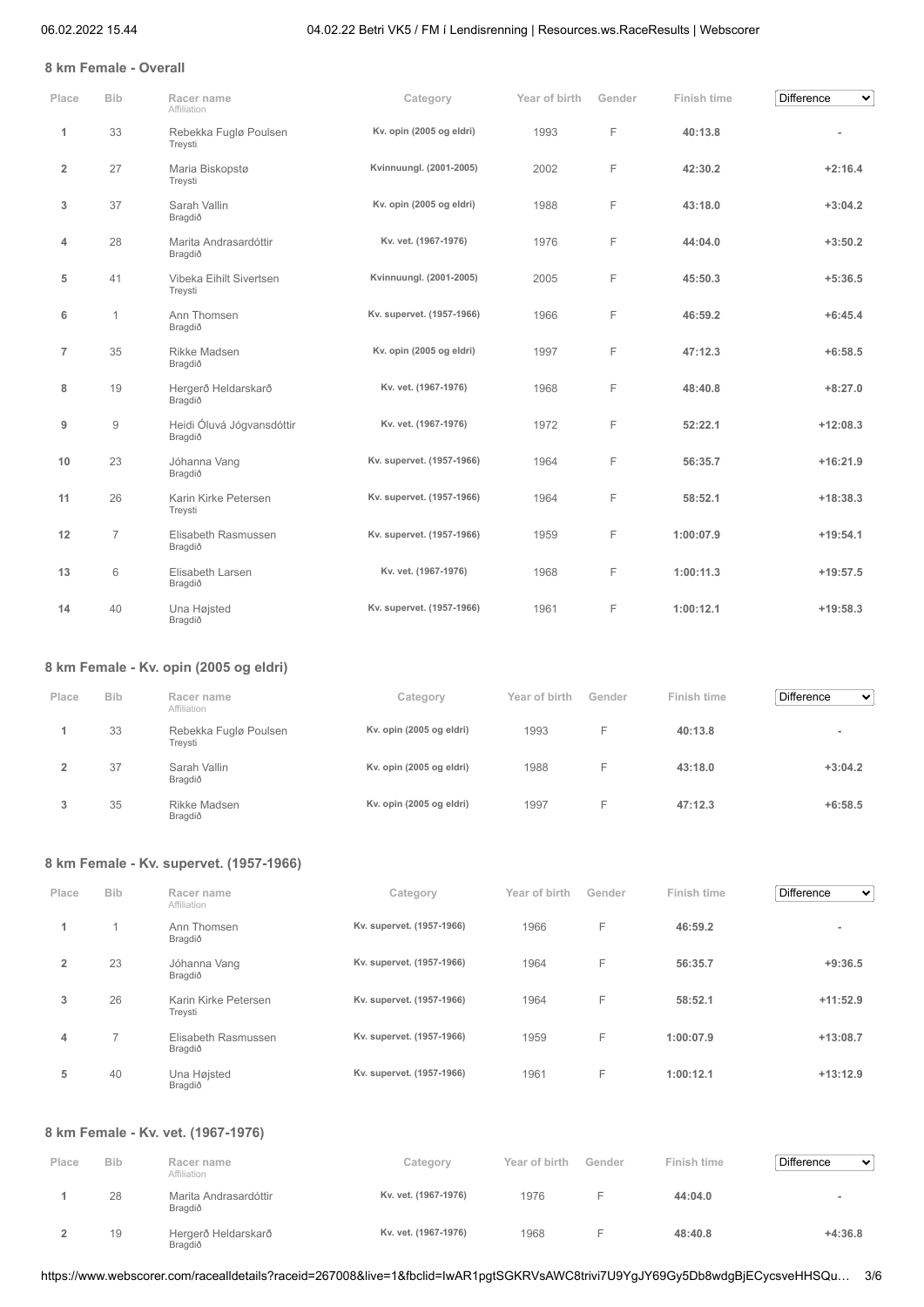### **8 km Female - Overall**

| Place          | <b>Bib</b>     | Racer name<br>Affiliation            | Category                  | Year of birth | Gender | Finish time | Difference<br>$\checkmark$ |
|----------------|----------------|--------------------------------------|---------------------------|---------------|--------|-------------|----------------------------|
| 1              | 33             | Rebekka Fuglø Poulsen<br>Treysti     | Kv. opin (2005 og eldri)  | 1993          | F      | 40:13.8     |                            |
| $\overline{2}$ | 27             | Maria Biskopstø<br>Treysti           | Kvinnuungl. (2001-2005)   | 2002          | F      | 42:30.2     | $+2:16.4$                  |
| 3              | 37             | Sarah Vallin<br>Bragdið              | Kv. opin (2005 og eldri)  | 1988          | F      | 43:18.0     | $+3:04.2$                  |
| 4              | 28             | Marita Andrasardóttir<br>Bragdið     | Kv. vet. (1967-1976)      | 1976          | F      | 44:04.0     | $+3:50.2$                  |
| 5              | 41             | Vibeka Eihilt Sivertsen<br>Treysti   | Kvinnuungl. (2001-2005)   | 2005          | F      | 45:50.3     | $+5:36.5$                  |
| 6              | 1              | Ann Thomsen<br>Bragdið               | Kv. supervet. (1957-1966) | 1966          | F      | 46:59.2     | $+6:45.4$                  |
| $\overline{7}$ | 35             | Rikke Madsen<br>Bragdið              | Kv. opin (2005 og eldri)  | 1997          | F      | 47:12.3     | $+6:58.5$                  |
| 8              | 19             | Hergerð Heldarskarð<br>Bragdið       | Kv. vet. (1967-1976)      | 1968          | F      | 48:40.8     | $+8:27.0$                  |
| 9              | $\overline{9}$ | Heidi Óluvá Jógvansdóttir<br>Bragdið | Kv. vet. (1967-1976)      | 1972          | F      | 52:22.1     | $+12:08.3$                 |
| 10             | 23             | Jóhanna Vang<br>Bragdið              | Kv. supervet. (1957-1966) | 1964          | F      | 56:35.7     | $+16:21.9$                 |
| 11             | 26             | Karin Kirke Petersen<br>Treysti      | Kv. supervet. (1957-1966) | 1964          | F      | 58:52.1     | $+18:38.3$                 |
| 12             | $\overline{7}$ | Elisabeth Rasmussen<br>Bragdið       | Kv. supervet. (1957-1966) | 1959          | F      | 1:00:07.9   | $+19:54.1$                 |
| 13             | 6              | Elisabeth Larsen<br>Bragdið          | Kv. vet. (1967-1976)      | 1968          | F      | 1:00:11.3   | $+19:57.5$                 |
| 14             | 40             | Una Højsted<br>Bragdið               | Kv. supervet. (1957-1966) | 1961          | F      | 1:00:12.1   | $+19:58.3$                 |

## **8 km Female - Kv. opin (2005 og eldri)**

| Place | <b>Bib</b> | Racer name<br>Affiliation        | Category                 | Year of birth | Gender  | Finish time | <b>Difference</b><br>$\checkmark$ |
|-------|------------|----------------------------------|--------------------------|---------------|---------|-------------|-----------------------------------|
|       | 33         | Rebekka Fuglø Poulsen<br>Trevsti | Kv. opin (2005 og eldri) | 1993          | -<br>н. | 40:13.8     | $\equiv$                          |
|       | 37         | Sarah Vallin<br>Bragdið          | Kv. opin (2005 og eldri) | 1988          | -       | 43:18.0     | $+3:04.2$                         |
| 3     | 35         | Rikke Madsen<br>Bragdið          | Kv. opin (2005 og eldri) | 1997          | -       | 47:12.3     | $+6:58.5$                         |

## **8 km Female - Kv. supervet. (1957-1966)**

| Place          | <b>Bib</b>     | Racer name<br>Affiliation       | Category                  | Year of birth | Gender | Finish time | <b>Difference</b><br>$\checkmark$ |
|----------------|----------------|---------------------------------|---------------------------|---------------|--------|-------------|-----------------------------------|
| 1              |                | Ann Thomsen<br>Bragdið          | Kv. supervet. (1957-1966) | 1966          | F      | 46:59.2     | $\overline{\phantom{a}}$          |
| $\overline{2}$ | 23             | Jóhanna Vang<br>Bragdið         | Kv. supervet. (1957-1966) | 1964          | F      | 56:35.7     | $+9:36.5$                         |
| 3              | 26             | Karin Kirke Petersen<br>Treysti | Kv. supervet. (1957-1966) | 1964          | F      | 58:52.1     | $+11:52.9$                        |
| 4              | $\overline{ }$ | Elisabeth Rasmussen<br>Bragdið  | Kv. supervet. (1957-1966) | 1959          | F      | 1:00:07.9   | $+13:08.7$                        |
| 5              | 40             | Una Højsted<br>Bragdið          | Kv. supervet. (1957-1966) | 1961          | F      | 1:00:12.1   | $+13:12.9$                        |

### **8 km Female - Kv. vet. (1967-1976)**

| Place | <b>Bib</b> | Racer name<br>Affiliation        | Category             | Year of birth | Gender | Finish time | <b>Difference</b><br>$\checkmark$ |
|-------|------------|----------------------------------|----------------------|---------------|--------|-------------|-----------------------------------|
|       | 28         | Marita Andrasardóttir<br>Bragdið | Kv. vet. (1967-1976) | 1976          |        | 44:04.0     |                                   |
|       | 19         | Hergerð Heldarskarð<br>Bragdið   | Kv. vet. (1967-1976) | 1968          |        | 48:40.8     | $+4:36.8$                         |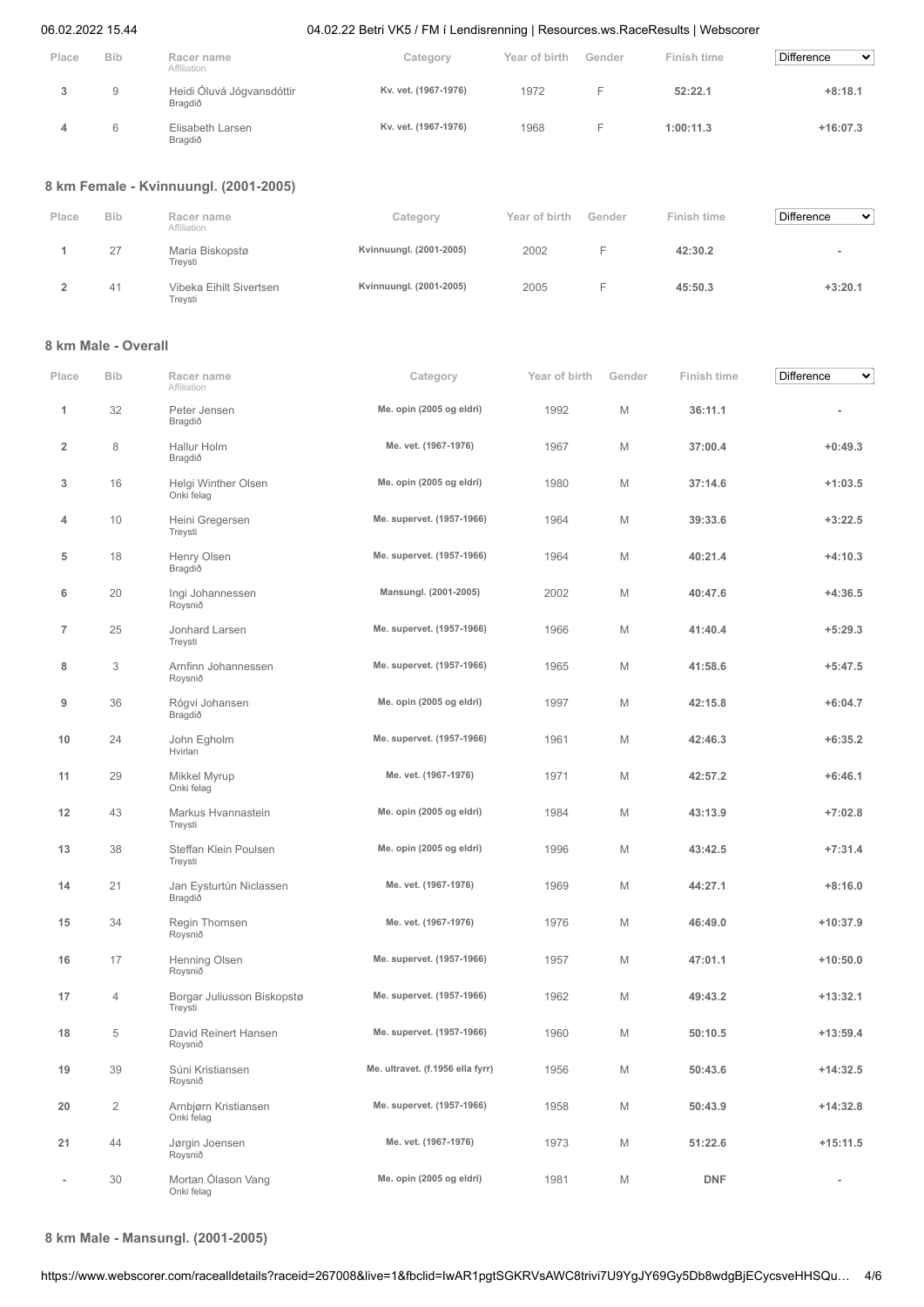| Place | <b>Bib</b> | Racer name<br>Affiliation            | Category             | Year of birth | Gender | Finish time | <b>Difference</b><br>$\mathbf{v}$ |
|-------|------------|--------------------------------------|----------------------|---------------|--------|-------------|-----------------------------------|
|       | 9          | Heidi Óluvá Jógvansdóttir<br>Bragdið | Kv. vet. (1967-1976) | 1972          |        | 52:22.1     | $+8:18.1$                         |
|       | 6          | Elisabeth Larsen<br>Bragdið          | Kv. vet. (1967-1976) | 1968          |        | 1:00:11.3   | $+16:07.3$                        |

### **8 km Female - Kvinnuungl. (2001-2005)**

| Place | <b>Bib</b> | Racer name<br>Affiliation          | Category                | Year of birth | Gender | Finish time | <b>Difference</b><br>$\checkmark$ |
|-------|------------|------------------------------------|-------------------------|---------------|--------|-------------|-----------------------------------|
|       | 27         | Maria Biskopstø<br>Trevsti         | Kvinnuungl. (2001-2005) | 2002          |        | 42:30.2     |                                   |
|       | 41         | Vibeka Eihilt Sivertsen<br>Treysti | Kvinnuungl. (2001-2005) | 2005          | -      | 45:50.3     | $+3:20.1$                         |

### **8 km Male - Overall**

| Place                   | <b>Bib</b> | Racer name<br>Affiliation             | Category                         | Year of birth | Gender | Finish time | <b>Difference</b><br>丷 |
|-------------------------|------------|---------------------------------------|----------------------------------|---------------|--------|-------------|------------------------|
| 1                       | 32         | Peter Jensen<br>Bragdið               | Me. opin (2005 og eldri)         | 1992          | M      | 36:11.1     |                        |
| $\overline{\mathbf{2}}$ | 8          | Hallur Holm<br>Bragdið                | Me. vet. (1967-1976)             | 1967          | Μ      | 37:00.4     | $+0:49.3$              |
| 3                       | 16         | Helgi Winther Olsen<br>Onki felag     | Me. opin (2005 og eldri)         | 1980          | M      | 37:14.6     | $+1:03.5$              |
| 4                       | 10         | Heini Gregersen<br>Treysti            | Me. supervet. (1957-1966)        | 1964          | М      | 39:33.6     | $+3:22.5$              |
| 5                       | 18         | Henry Olsen<br>Bragdið                | Me. supervet. (1957-1966)        | 1964          | М      | 40:21.4     | $+4:10.3$              |
| 6                       | 20         | Ingi Johannessen<br>Roysnið           | Mansungl. (2001-2005)            | 2002          | M      | 40:47.6     | $+4:36.5$              |
| $\overline{7}$          | 25         | Jonhard Larsen<br>Treysti             | Me. supervet. (1957-1966)        | 1966          | M      | 41:40.4     | $+5:29.3$              |
| 8                       | 3          | Arnfinn Johannessen<br>Roysnið        | Me. supervet. (1957-1966)        | 1965          | M      | 41:58.6     | $+5:47.5$              |
| 9                       | 36         | Rógvi Johansen<br>Bragdið             | Me. opin (2005 og eldri)         | 1997          | М      | 42:15.8     | $+6:04.7$              |
| 10                      | 24         | John Egholm<br>Hvirlan                | Me. supervet. (1957-1966)        | 1961          | М      | 42:46.3     | $+6:35.2$              |
| 11                      | 29         | Mikkel Myrup<br>Onki felag            | Me. vet. (1967-1976)             | 1971          | M      | 42:57.2     | $+6:46.1$              |
| 12                      | 43         | Markus Hvannastein<br>Treysti         | Me. opin (2005 og eldri)         | 1984          | М      | 43:13.9     | $+7:02.8$              |
| 13                      | 38         | Steffan Klein Poulsen<br>Treysti      | Me. opin (2005 og eldri)         | 1996          | М      | 43:42.5     | $+7:31.4$              |
| 14                      | 21         | Jan Eysturtún Niclassen<br>Bragdið    | Me. vet. (1967-1976)             | 1969          | М      | 44:27.1     | $+8:16.0$              |
| 15                      | 34         | Regin Thomsen<br>Roysnið              | Me. vet. (1967-1976)             | 1976          | M      | 46:49.0     | $+10:37.9$             |
| 16                      | 17         | Henning Olsen<br>Roysnið              | Me. supervet. (1957-1966)        | 1957          | М      | 47:01.1     | $+10:50.0$             |
| 17                      | 4          | Borgar Juliusson Biskopstø<br>Treysti | Me. supervet. (1957-1966)        | 1962          | М      | 49:43.2     | $+13:32.1$             |
| 18                      | 5          | David Reinert Hansen<br>Roysnið       | Me. supervet. (1957-1966)        | 1960          | М      | 50:10.5     | $+13:59.4$             |
| 19                      | 39         | Súni Kristiansen<br>Roysnið           | Me. ultravet. (f.1956 ella fyrr) | 1956          | М      | 50:43.6     | $+14:32.5$             |
| 20                      | $\sqrt{2}$ | Arnbjørn Kristiansen<br>Onki felag    | Me. supervet. (1957-1966)        | 1958          | М      | 50:43.9     | $+14:32.8$             |
| 21                      | 44         | Jørgin Joensen<br>Roysnið             | Me. vet. (1967-1976)             | 1973          | М      | 51:22.6     | $+15:11.5$             |
|                         | 30         | Mortan Ólason Vang<br>Onki felag      | Me. opin (2005 og eldri)         | 1981          | М      | <b>DNF</b>  | ÷                      |

**8 km Male - Mansungl. (2001-2005)**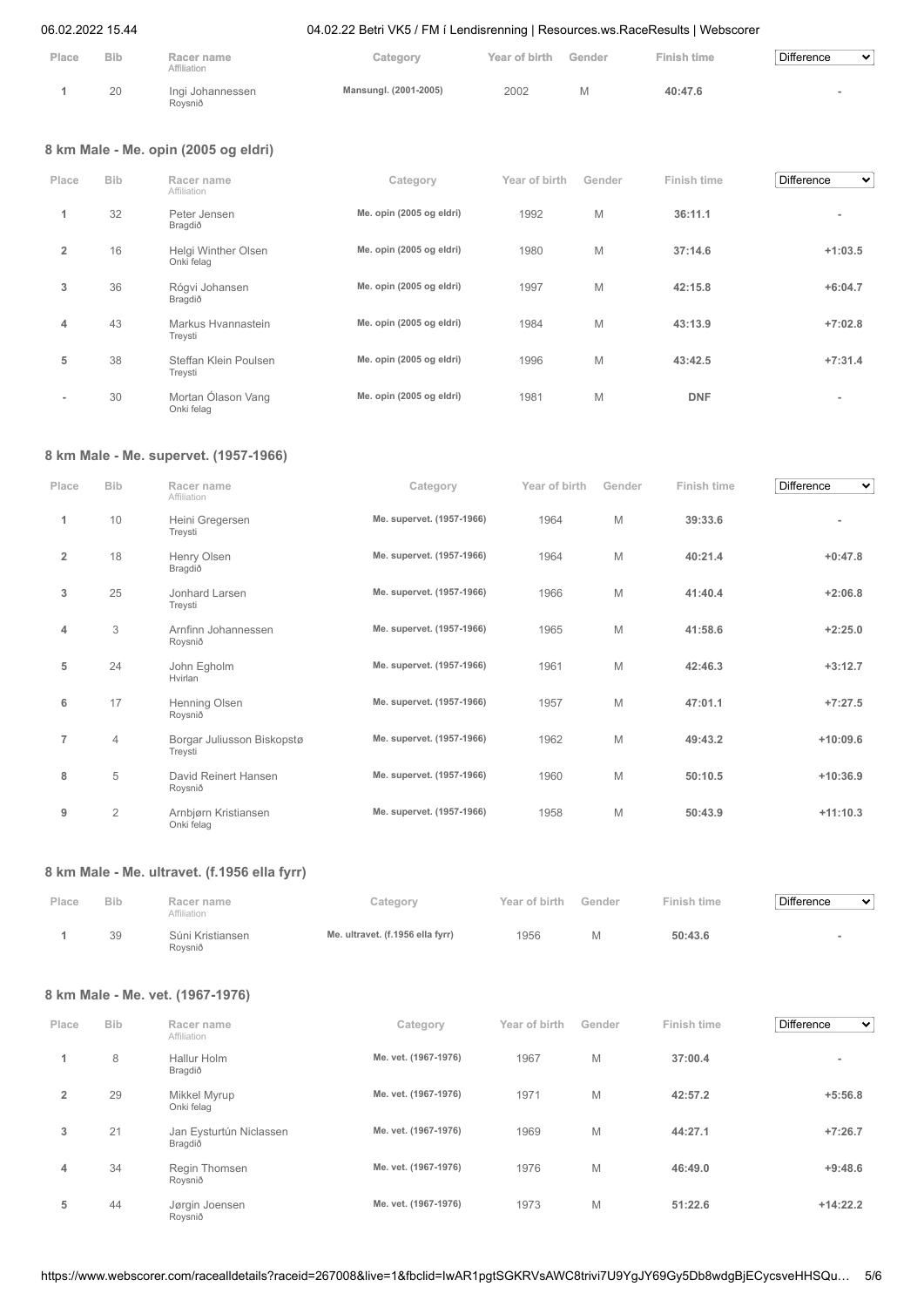| Place | <b>Bib</b> | Racer name<br>Affiliation   | Category              | Year of birth | Gender | <b>Finish time</b> | Difference<br>$\checkmark$ |
|-------|------------|-----------------------------|-----------------------|---------------|--------|--------------------|----------------------------|
|       | 20         | Ingi Johannessen<br>Rovsnið | Mansungl. (2001-2005) | 2002          |        | 40:47.6            |                            |

## **8 km Male - Me. opin (2005 og eldri)**

| Place                    | <b>Bib</b> | Racer name<br>Affiliation         | Category                 | Year of birth | Gender | Finish time | <b>Difference</b><br>$\checkmark$ |
|--------------------------|------------|-----------------------------------|--------------------------|---------------|--------|-------------|-----------------------------------|
| 1                        | 32         | Peter Jensen<br>Bragdið           | Me. opin (2005 og eldri) | 1992          | M      | 36:11.1     | $\overline{\phantom{a}}$          |
| $\overline{2}$           | 16         | Helgi Winther Olsen<br>Onki felag | Me. opin (2005 og eldri) | 1980          | M      | 37:14.6     | $+1:03.5$                         |
| 3                        | 36         | Rógvi Johansen<br>Bragdið         | Me. opin (2005 og eldri) | 1997          | M      | 42:15.8     | $+6:04.7$                         |
| 4                        | 43         | Markus Hvannastein<br>Treysti     | Me. opin (2005 og eldri) | 1984          | M      | 43:13.9     | $+7:02.8$                         |
| 5                        | 38         | Steffan Klein Poulsen<br>Treysti  | Me. opin (2005 og eldri) | 1996          | M      | 43:42.5     | $+7:31.4$                         |
| $\overline{\phantom{a}}$ | 30         | Mortan Ólason Vang<br>Onki felag  | Me. opin (2005 og eldri) | 1981          | M      | <b>DNF</b>  | $\overline{\phantom{a}}$          |

## **8 km Male - Me. supervet. (1957-1966)**

| Place          | <b>Bib</b>     | Racer name<br>Affiliation             | Category                  | Year of birth | Gender | Finish time | <b>Difference</b><br>$\checkmark$ |
|----------------|----------------|---------------------------------------|---------------------------|---------------|--------|-------------|-----------------------------------|
| 1              | 10             | Heini Gregersen<br>Treysti            | Me. supervet. (1957-1966) | 1964          | M      | 39:33.6     |                                   |
| $\overline{2}$ | 18             | Henry Olsen<br>Bragdið                | Me. supervet. (1957-1966) | 1964          | M      | 40:21.4     | $+0:47.8$                         |
| 3              | 25             | Jonhard Larsen<br>Treysti             | Me. supervet. (1957-1966) | 1966          | M      | 41:40.4     | $+2:06.8$                         |
| 4              | 3              | Arnfinn Johannessen<br>Roysnið        | Me. supervet. (1957-1966) | 1965          | M      | 41:58.6     | $+2:25.0$                         |
| 5              | 24             | John Egholm<br>Hvirlan                | Me. supervet. (1957-1966) | 1961          | M      | 42:46.3     | $+3:12.7$                         |
| 6              | 17             | Henning Olsen<br>Roysnið              | Me. supervet. (1957-1966) | 1957          | M      | 47:01.1     | $+7:27.5$                         |
| $\overline{7}$ | $\overline{4}$ | Borgar Juliusson Biskopstø<br>Treysti | Me. supervet. (1957-1966) | 1962          | M      | 49:43.2     | $+10:09.6$                        |
| 8              | 5              | David Reinert Hansen<br>Roysnið       | Me. supervet. (1957-1966) | 1960          | M      | 50:10.5     | $+10:36.9$                        |
| 9              | $\overline{2}$ | Arnbjørn Kristiansen<br>Onki felag    | Me. supervet. (1957-1966) | 1958          | M      | 50:43.9     | $+11:10.3$                        |

### **8 km Male - Me. ultravet. (f.1956 ella fyrr)**

| Place | <b>Bib</b> | Racer name<br>Affiliation   | Category                         | Year of birth | Gender | Finish time | Difference<br>$\checkmark$ |
|-------|------------|-----------------------------|----------------------------------|---------------|--------|-------------|----------------------------|
|       | 39         | Súni Kristiansen<br>Rovsnið | Me. ultravet. (f.1956 ella fyrr) | 1956          |        | 50:43.6     |                            |

## **8 km Male - Me. vet. (1967-1976)**

| Place          | <b>Bib</b> | Racer name                         | Category             | Year of birth | Gender | Finish time | <b>Difference</b><br>$\checkmark$ |
|----------------|------------|------------------------------------|----------------------|---------------|--------|-------------|-----------------------------------|
|                |            | Affiliation                        |                      |               |        |             |                                   |
| 1              | 8          | Hallur Holm<br>Bragdið             | Me. vet. (1967-1976) | 1967          | M      | 37:00.4     | $\overline{\phantom{a}}$          |
| $\overline{2}$ | 29         | Mikkel Myrup<br>Onki felag         | Me. vet. (1967-1976) | 1971          | M      | 42:57.2     | $+5:56.8$                         |
| 3              | 21         | Jan Eysturtún Niclassen<br>Bragdið | Me. vet. (1967-1976) | 1969          | M      | 44:27.1     | $+7:26.7$                         |
| 4              | 34         | Regin Thomsen<br>Roysnið           | Me. vet. (1967-1976) | 1976          | M      | 46:49.0     | $+9:48.6$                         |
| 5              | 44         | Jørgin Joensen<br>Roysnið          | Me. vet. (1967-1976) | 1973          | M      | 51:22.6     | $+14:22.2$                        |